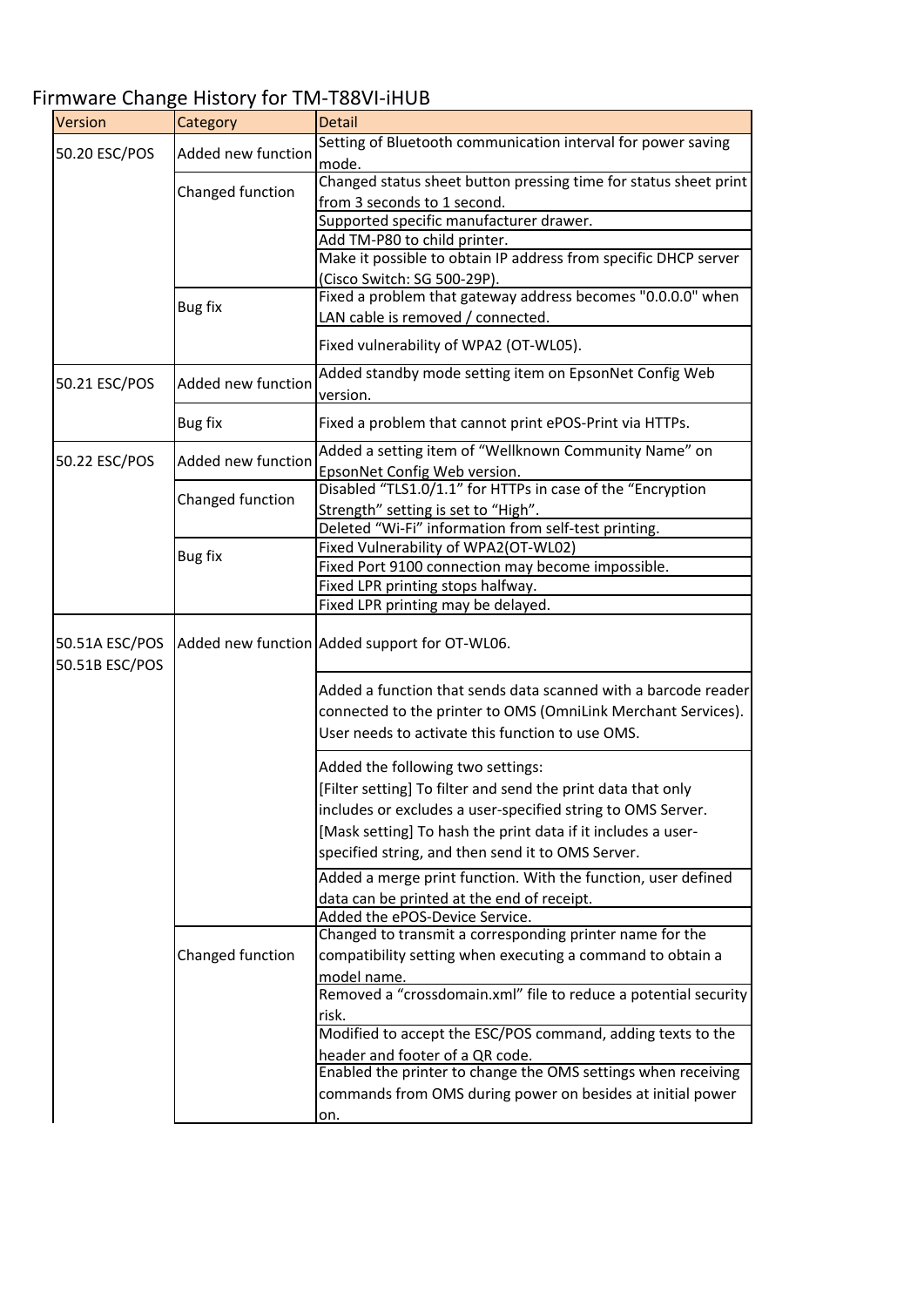## Version Category Detail 50.20 ESC/POS Added new function Setting of Bluetooth communication interval for power saving mode. Changed function Changed status sheet button pressing time for status sheet print from 3 seconds to 1 second. Supported specific manufacturer drawer. Add TM‐P80 to child printer. Make it possible to obtain IP address from specific DHCP server (Cisco Switch: SG 500‐29P). Bug fix Fixed <sup>a</sup> problem that gateway address becomes "0.0.0.0" when LAN cable is removed / connected. Fixed vulnerability of WPA2 (OT‐WL05). 50.21 ESC/POS Added new function Added standby mode setting item on EpsonNet Config Web version. Bug fix **Fixed a problem that cannot print ePOS-Print via HTTPs.** 50.22 ESC/POS Added new function Added a setting item of "Wellknown Community Name" on EpsonNet Config Web version. Changed function  $\begin{bmatrix} \text{Disabled "TLS1.0/1.1"} \\ \text{C.} \end{bmatrix}$   $\begin{bmatrix} 0.11 \ldots 0.11 \ldots 0.11 \ldots 0.11 \ldots 0.11 \ldots 0.11 \ldots 0.11 \ldots 0.11 \ldots 0.11 \ldots 0.11 \ldots 0.11 \ldots 0.11 \ldots 0.11 \ldots 0.11 \ldots 0.11 \ldots 0.11 \ldots 0.11 \ldots 0.11 \ldots 0.11 \ldots 0.11 \$ Strength" setting is set to "High". Deleted "Wi‐Fi" information from self‐test printing. Fixed Vulnerability of WPA2(OT‐WL02) Fixed Port 9100 connection may become impossible. Fixed LPR printing stops halfway. Fixed LPR printing may be delayed. 50.51A ESC/POS 50.51B ESC/POS Added new function Added support for OT‐WL06. Added a function that sends data scanned with a barcode reader connected to the printer to OMS (OmniLink Merchant Services). User needs to activate this function to use OMS. Added the following two settings: [Filter setting] To filter and send the print data that only includes or excludes a user‐specified string to OMS Server. [Mask setting] To hash the print data if it includes a userspecified string, and then send it to OMS Server. Added a merge print function. With the function, user defined data can be printed at the end of receipt. Added the ePOS‐Device Service. Changed function Changed to transmit a corresponding printer name for the compatibility setting when executing a command to obtain a model name. Removed a "crossdomain.xml" file to reduce a potential security risk. Modified to accept the ESC/POS command, adding texts to the header and footer of a QR code. Enabled the printer to change the OMS settings when receiving commands from OMS during power on besides at initial power on. Bug fix

## Firmware Change History for TM‐T88VI‐iHUB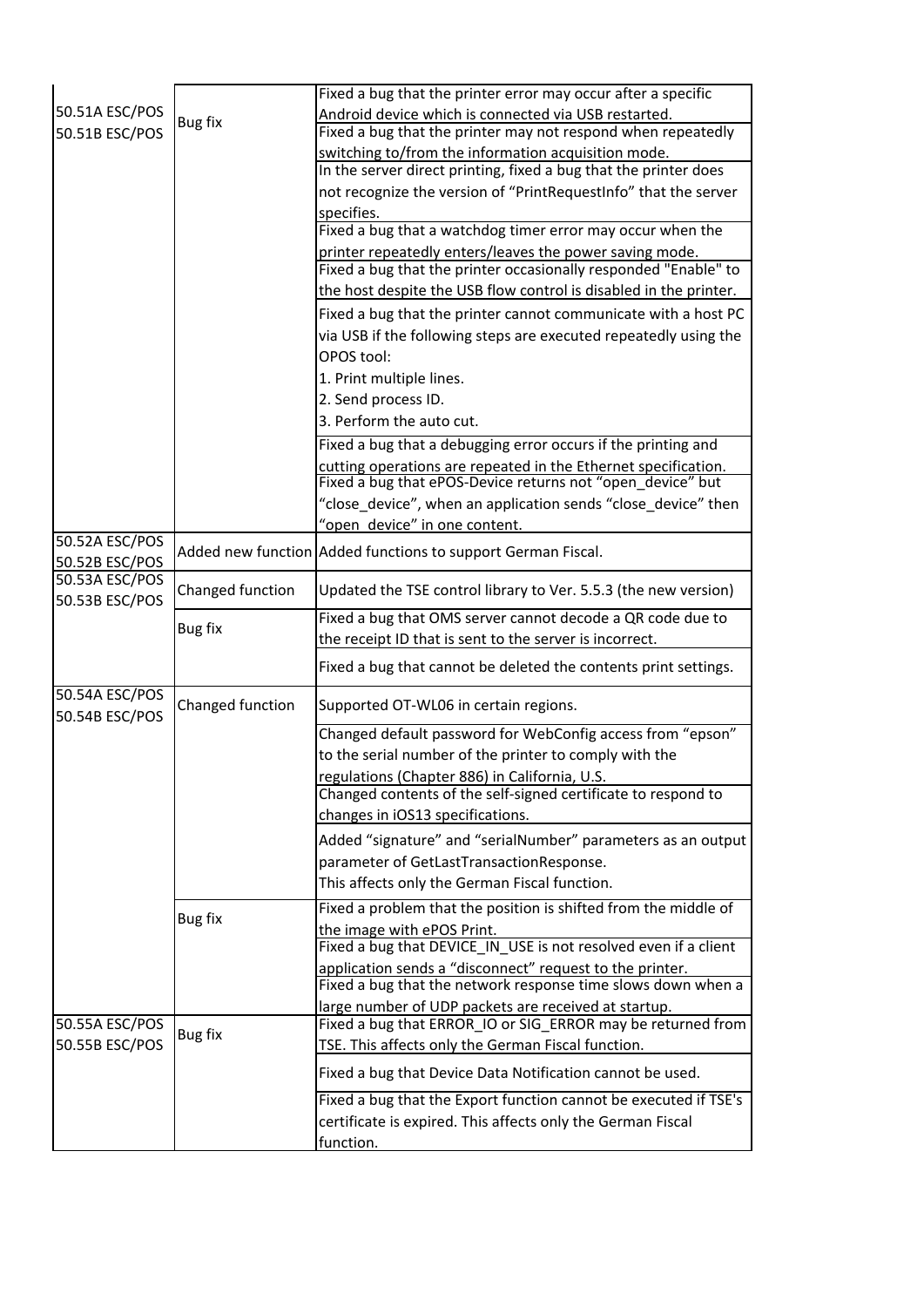|                                  |                  | Fixed a bug that the printer error may occur after a specific                                                                |
|----------------------------------|------------------|------------------------------------------------------------------------------------------------------------------------------|
| 50.51A ESC/POS<br>50.51B ESC/POS | Bug fix          | Android device which is connected via USB restarted.                                                                         |
|                                  |                  | Fixed a bug that the printer may not respond when repeatedly                                                                 |
|                                  |                  | switching to/from the information acquisition mode.                                                                          |
|                                  |                  | In the server direct printing, fixed a bug that the printer does                                                             |
|                                  |                  | not recognize the version of "PrintRequestInfo" that the server                                                              |
|                                  |                  | specifies.<br>Fixed a bug that a watchdog timer error may occur when the                                                     |
|                                  |                  | printer repeatedly enters/leaves the power saving mode.                                                                      |
|                                  |                  | Fixed a bug that the printer occasionally responded "Enable" to                                                              |
|                                  |                  | the host despite the USB flow control is disabled in the printer.                                                            |
|                                  |                  | Fixed a bug that the printer cannot communicate with a host PC                                                               |
|                                  |                  | via USB if the following steps are executed repeatedly using the                                                             |
|                                  |                  | OPOS tool:                                                                                                                   |
|                                  |                  |                                                                                                                              |
|                                  |                  | 1. Print multiple lines.                                                                                                     |
|                                  |                  | 2. Send process ID.                                                                                                          |
|                                  |                  | 3. Perform the auto cut.                                                                                                     |
|                                  |                  | Fixed a bug that a debugging error occurs if the printing and                                                                |
|                                  |                  | cutting operations are repeated in the Ethernet specification.<br>Fixed a bug that ePOS-Device returns not "open_device" but |
|                                  |                  | "close_device", when an application sends "close_device" then                                                                |
|                                  |                  | "open device" in one content.                                                                                                |
| 50.52A ESC/POS<br>50.52B ESC/POS |                  | Added new function Added functions to support German Fiscal.                                                                 |
| 50.53A ESC/POS<br>50.53B ESC/POS | Changed function | Updated the TSE control library to Ver. 5.5.3 (the new version)                                                              |
|                                  | <b>Bug fix</b>   | Fixed a bug that OMS server cannot decode a QR code due to                                                                   |
|                                  |                  | the receipt ID that is sent to the server is incorrect.                                                                      |
|                                  |                  | Fixed a bug that cannot be deleted the contents print settings.                                                              |
| 50.54A ESC/POS<br>50.54B ESC/POS | Changed function | Supported OT-WL06 in certain regions.                                                                                        |
|                                  |                  | Changed default password for WebConfig access from "epson"                                                                   |
|                                  |                  | to the serial number of the printer to comply with the                                                                       |
|                                  |                  | regulations (Chapter 886) in California, U.S.                                                                                |
|                                  |                  | Changed contents of the self-signed certificate to respond to                                                                |
|                                  |                  | changes in iOS13 specifications.                                                                                             |
|                                  |                  | Added "signature" and "serialNumber" parameters as an output                                                                 |
|                                  |                  | parameter of GetLastTransactionResponse.                                                                                     |
|                                  |                  | This affects only the German Fiscal function.                                                                                |
|                                  |                  | Fixed a problem that the position is shifted from the middle of                                                              |
|                                  | Bug fix          | the image with ePOS Print.                                                                                                   |
|                                  |                  | Fixed a bug that DEVICE_IN_USE is not resolved even if a client                                                              |
|                                  |                  | application sends a "disconnect" request to the printer.                                                                     |
|                                  |                  | Fixed a bug that the network response time slows down when a                                                                 |
|                                  |                  | large number of UDP packets are received at startup.                                                                         |
| 50.55A ESC/POS                   | Bug fix          | Fixed a bug that ERROR_IO or SIG_ERROR may be returned from                                                                  |
| 50.55B ESC/POS                   |                  | TSE. This affects only the German Fiscal function.                                                                           |
|                                  |                  | Fixed a bug that Device Data Notification cannot be used.                                                                    |
|                                  |                  | Fixed a bug that the Export function cannot be executed if TSE's                                                             |
|                                  |                  | certificate is expired. This affects only the German Fiscal                                                                  |
|                                  |                  | function.                                                                                                                    |